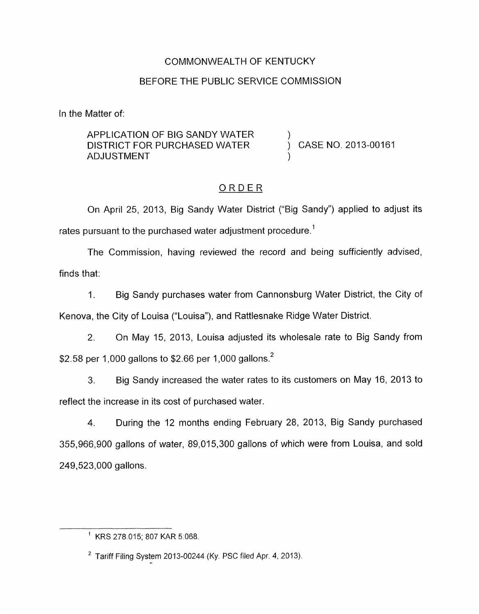# COMMONWEALTH OF KENTUCKY

# BEFORE THE PUBLIC SERVICE COMMISSION

In the Matter of:

#### APPLICATION OF BIG SANDY WATER DISTRICT FOR PURCHASED WATER  $\overrightarrow{)}$  CASE NO. 2013-00161 **ADJUSTMENT**

# ORDER

On April 25, 2013, Big Sandy Water District ("Big Sandy") applied to adjust its rates pursuant to the purchased water adjustment procedure.<sup>1</sup>

The Commission, having reviewed the record and being sufficiently advised, finds that:

1. Big Sandy purchases water from Cannonsburg Water District, the City of Kenova, the City of Louisa ("Louisa"), and Rattlesnake Ridge Water District.

2. On May 15, 2013, Louisa adjusted its wholesale rate to Big Sandy from \$2.58 per 1,000 gallons to \$2.66 per 1,000 gallons.2

3. Big Sandy increased the water rates to its customers on May 16, 2013 to reflect the increase in its cost of purchased water.

4. During the 12 months ending February 28, 2013, Big Sandy purchased 355,966,900 gallons of water, 89,015,300 gallons of which were from Louisa, and sold 249,523,000 gallons.

<sup>&#</sup>x27; KRS 278.015; 807 KAR 5:068.

 $2$  Tariff Filing System 2013-00244 (Ky. PSC filed Apr. 4, 2013).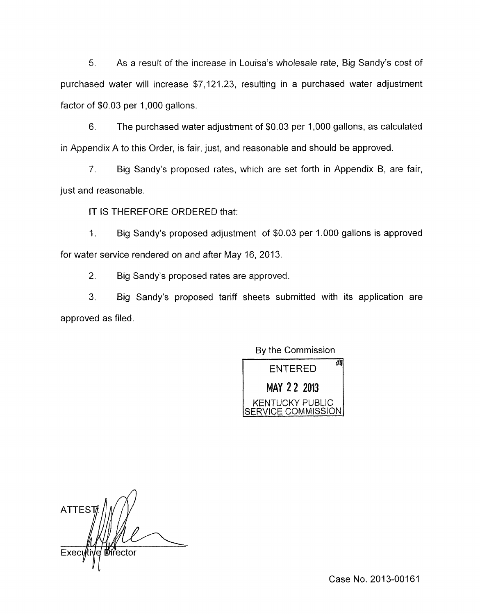5. As a result of the increase in Louisa's wholesale rate, Big Sandy's cost of purchased water will increase \$7,121.23, resulting in a purchased water adjustment factor of \$0.03 per 1,000 gallons.

6. The purchased water adjustment of \$0.03 per 1,000 gallons, as calculated in Appendix A to this Order, is fair, just, and reasonable and should be approved.

7. Big Sandy's proposed rates, which are set forth in Appendix B, are fair, just and reasonable.

IT IS THEREFORE ORDERED that:

1. Big Sandy's proposed adjustment of \$0.03 per 1,000 gallons is approved for water service rendered on and after May 16, 2013.

2. Big Sandy's proposed rates are approved.

3. Big Sandy's proposed tariff sheets submitted with its application are approved as filed.

By the Commission

**fir'** ENTERED 2 **2 2013**  KENTUCKY **PUBLIC**  SERVICE COMMISSION

ATTES<sup>-</sup> Execi ířector

Case No. 2013-00161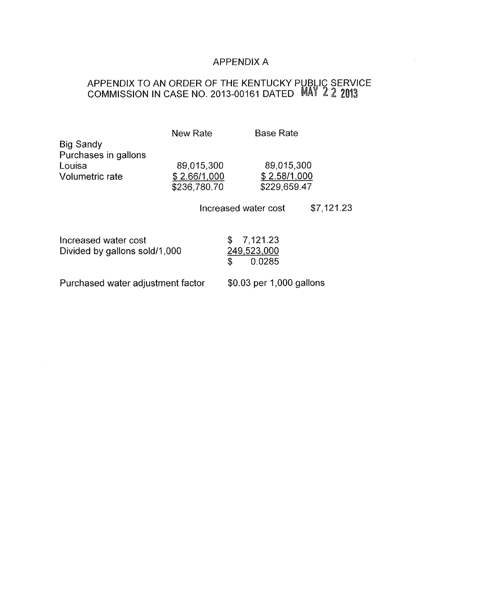# APPENDIX A

 $\bar{z}$ 

#### APPENDIX TO AN ORDER OF THE KENTUCKY PUBLIC SERVICE COMMISSION IN CASE NO. 2013-00161 DATED

| <b>Big Sandy</b>                                      | New Rate                                   | <b>Base Rate</b>                              |            |
|-------------------------------------------------------|--------------------------------------------|-----------------------------------------------|------------|
| Purchases in gallons<br>Louisa<br>Volumetric rate     | 89,015,300<br>\$2.66/1,000<br>\$236,780.70 | 89,015,300<br>\$2.58/1,000<br>\$229,659.47    |            |
|                                                       |                                            | Increased water cost                          | \$7,121.23 |
| Increased water cost<br>Divided by gallons sold/1,000 |                                            | \$<br>7,121.23<br>249,523,000<br>\$<br>0.0285 |            |
| Purchased water adjustment factor                     |                                            | \$0.03 per 1,000 gallons                      |            |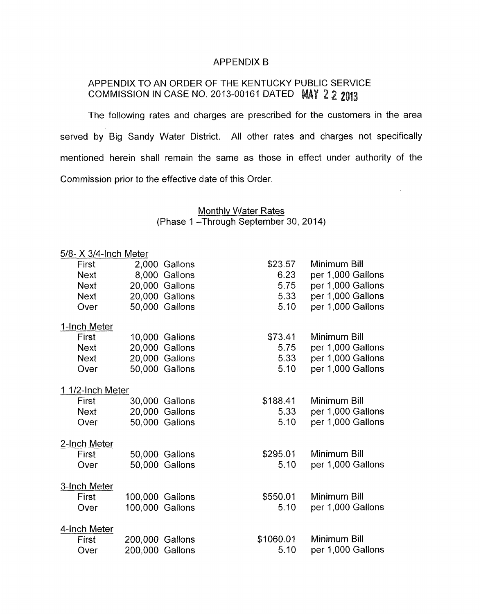#### APPENDIX B

# APPENDIX TO AN ORDER OF THE KENTUCKY PUBLIC SERVICE COMMISSION IN CASE NO. 2013-00161 DATED MAY 2 2 2013

The following rates and charges are prescribed for the customers in the area served by Big Sandy Water District. All other rates and charges not specifically mentioned herein shall remain the same as those in effect under authority of the Commission prior to the effective date of this Order.

#### Monthly Water Rates (Phase 1-Through September 30, 2014)

| 5/8- X 3/4-Inch Meter |                                                                                                                                                                                                                                                                                                                                    |                                              |
|-----------------------|------------------------------------------------------------------------------------------------------------------------------------------------------------------------------------------------------------------------------------------------------------------------------------------------------------------------------------|----------------------------------------------|
|                       | \$23.57                                                                                                                                                                                                                                                                                                                            | Minimum Bill                                 |
|                       | 6.23                                                                                                                                                                                                                                                                                                                               | per 1,000 Gallons                            |
|                       | 5.75                                                                                                                                                                                                                                                                                                                               | per 1,000 Gallons                            |
|                       | 5.33                                                                                                                                                                                                                                                                                                                               | per 1,000 Gallons                            |
|                       | 5.10                                                                                                                                                                                                                                                                                                                               | per 1,000 Gallons                            |
|                       |                                                                                                                                                                                                                                                                                                                                    |                                              |
|                       | \$73.41                                                                                                                                                                                                                                                                                                                            | Minimum Bill                                 |
|                       |                                                                                                                                                                                                                                                                                                                                    | per 1,000 Gallons                            |
|                       |                                                                                                                                                                                                                                                                                                                                    | per 1,000 Gallons                            |
|                       |                                                                                                                                                                                                                                                                                                                                    | per 1,000 Gallons                            |
| 1 1/2-Inch Meter      |                                                                                                                                                                                                                                                                                                                                    |                                              |
|                       | \$188.41                                                                                                                                                                                                                                                                                                                           | Minimum Bill                                 |
|                       | 5.33                                                                                                                                                                                                                                                                                                                               | per 1,000 Gallons                            |
|                       | 5.10                                                                                                                                                                                                                                                                                                                               | per 1,000 Gallons                            |
|                       |                                                                                                                                                                                                                                                                                                                                    |                                              |
|                       |                                                                                                                                                                                                                                                                                                                                    | Minimum Bill                                 |
|                       | 5.10                                                                                                                                                                                                                                                                                                                               | per 1,000 Gallons                            |
|                       |                                                                                                                                                                                                                                                                                                                                    |                                              |
|                       |                                                                                                                                                                                                                                                                                                                                    | Minimum Bill                                 |
|                       | 5.10                                                                                                                                                                                                                                                                                                                               | per 1,000 Gallons                            |
|                       |                                                                                                                                                                                                                                                                                                                                    |                                              |
|                       | \$1060.01                                                                                                                                                                                                                                                                                                                          | Minimum Bill                                 |
|                       | 5.10                                                                                                                                                                                                                                                                                                                               | per 1,000 Gallons                            |
|                       | 2,000 Gallons<br>8,000 Gallons<br>20,000 Gallons<br>20,000 Gallons<br>50,000 Gallons<br>10,000 Gallons<br>20,000 Gallons<br>20,000 Gallons<br>50,000 Gallons<br>30,000 Gallons<br>20,000 Gallons<br>50,000 Gallons<br>50,000 Gallons<br>50,000 Gallons<br>100,000 Gallons<br>100,000 Gallons<br>200,000 Gallons<br>200,000 Gallons | 5.75<br>5.33<br>5.10<br>\$295.01<br>\$550.01 |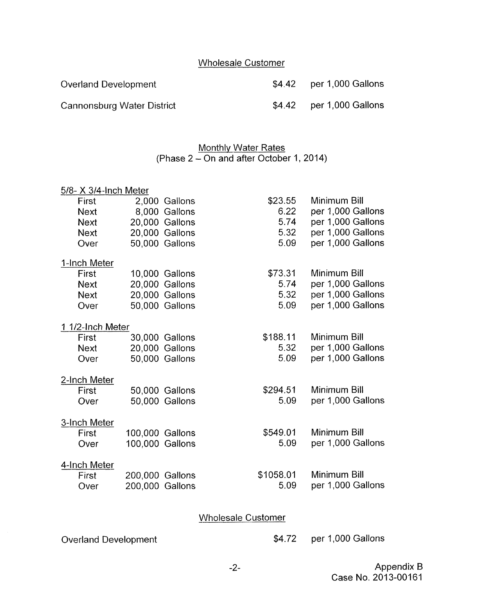# Wholesale Customer

Overland Development **\$4.42** per 1,000 Gallons

Cannonsburg Water District **\$4.42** per 1,000 Gallons

# **Monthly Water Rates** (Phase  $2$  – On and after October 1, 2014)

| <b>Monthly Water Rates</b><br>(Phase 2 – On and after October 1, 2014) |                 |                |           |                   |  |
|------------------------------------------------------------------------|-----------------|----------------|-----------|-------------------|--|
| 5/8- X 3/4-Inch Meter                                                  |                 |                |           |                   |  |
| <b>First</b>                                                           |                 | 2,000 Gallons  | \$23.55   | Minimum Bill      |  |
| <b>Next</b>                                                            |                 | 8,000 Gallons  | 6.22      | per 1,000 Gallons |  |
| <b>Next</b>                                                            |                 | 20,000 Gallons | 5.74      | per 1,000 Gallons |  |
| <b>Next</b>                                                            |                 | 20,000 Gallons | 5.32      | per 1,000 Gallons |  |
| Over                                                                   |                 | 50,000 Gallons | 5.09      | per 1,000 Gallons |  |
| 1-Inch Meter                                                           |                 |                |           |                   |  |
| First                                                                  |                 | 10,000 Gallons | \$73.31   | Minimum Bill      |  |
| <b>Next</b>                                                            |                 | 20,000 Gallons | 5.74      | per 1,000 Gallons |  |
| <b>Next</b>                                                            |                 | 20,000 Gallons | 5.32      | per 1,000 Gallons |  |
| Over                                                                   |                 | 50,000 Gallons | 5.09      | per 1,000 Gallons |  |
| 1 1/2-Inch Meter                                                       |                 |                |           |                   |  |
| First                                                                  |                 | 30,000 Gallons | \$188.11  | Minimum Bill      |  |
| <b>Next</b>                                                            |                 | 20,000 Gallons | 5.32      | per 1,000 Gallons |  |
| Over                                                                   |                 | 50,000 Gallons | 5.09      | per 1,000 Gallons |  |
| 2-Inch Meter                                                           |                 |                |           |                   |  |
| First                                                                  |                 | 50,000 Gallons | \$294.51  | Minimum Bill      |  |
| Over                                                                   |                 | 50,000 Gallons | 5.09      | per 1,000 Gallons |  |
| 3-Inch Meter                                                           |                 |                |           |                   |  |
| First                                                                  | 100,000 Gallons |                | \$549.01  | Minimum Bill      |  |
| Over                                                                   | 100,000 Gallons |                | 5.09      | per 1,000 Gallons |  |
| 4-Inch Meter                                                           |                 |                |           |                   |  |
| First                                                                  | 200,000 Gallons |                | \$1058.01 | Minimum Bill      |  |
| Over                                                                   | 200,000 Gallons |                | 5.09      | per 1,000 Gallons |  |

# **Wholesale Customer**

Overland Development

\$4.72 per 1,000 Gallons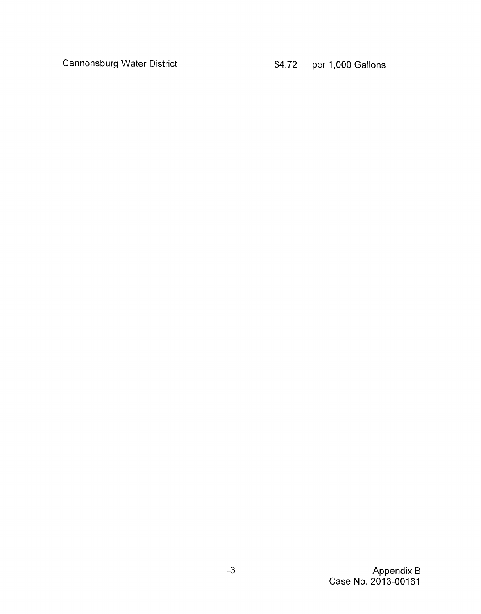Cannonsburg Water District

Appendix B Case No. 2013-00161

 $\hat{r}$  .